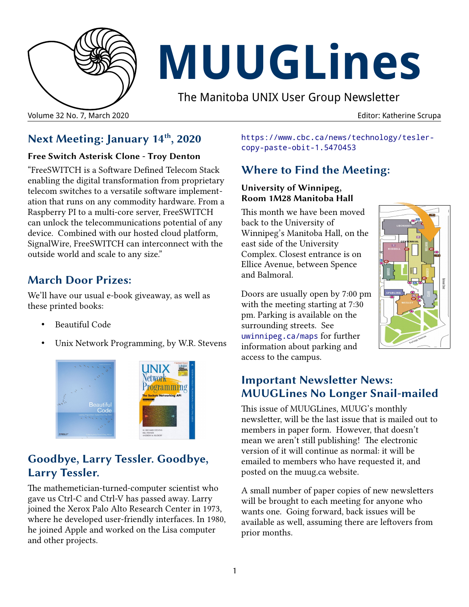

# **MUUGLines**

The Manitoba UNIX User Group Newsletter

## **Next Meeting: January 14th, 2020**

#### **Free Switch Asterisk Clone - Troy Denton**

"FreeSWITCH is a Software Defined Telecom Stack enabling the digital transformation from proprietary telecom switches to a versatile software implementation that runs on any commodity hardware. From a Raspberry PI to a multi-core server, FreeSWITCH can unlock the telecommunications potential of any device. Combined with our hosted cloud platform, SignalWire, FreeSWITCH can interconnect with the outside world and scale to any size."

#### **March Door Prizes:**

We'll have our usual e-book giveaway, as well as these printed books:

- Beautiful Code
- Unix Network Programming, by W.R. Stevens



#### **Goodbye, Larry Tessler. Goodbye, Larry Tessler.**

The mathemetician-turned-computer scientist who gave us Ctrl-C and Ctrl-V has passed away. Larry joined the Xerox Palo Alto Research Center in 1973, where he developed user-friendly interfaces. In 1980, he joined Apple and worked on the Lisa computer and other projects.

[https://www.cbc.ca/news/technology/tesler](https://www.cbc.ca/news/technology/tesler-copy-paste-obit-1.5470453)[copy-paste-obit-1.5470453](https://www.cbc.ca/news/technology/tesler-copy-paste-obit-1.5470453)

## **Where to Find the Meeting:**

#### **University of Winnipeg, Room 1M28 Manitoba Hall**

This month we have been moved back to the University of Winnipeg's Manitoba Hall, on the east side of the University Complex. Closest entrance is on Ellice Avenue, between Spence and Balmoral.

Doors are usually open by 7:00 pm with the meeting starting at 7:30 pm. Parking is available on the surrounding streets. See [uwinnipeg.ca/maps](http://www.uwinnipeg.ca/maps) for further information about parking and access to the campus.



#### **Important Newsletter News: MUUGLines No Longer Snail-mailed**

This issue of MUUGLines, MUUG's monthly newsletter, will be the last issue that is mailed out to members in paper form. However, that doesn't mean we aren't still publishing! The electronic version of it will continue as normal: it will be emailed to members who have requested it, and posted on the muug.ca website.

A small number of paper copies of new newsletters will be brought to each meeting for anyone who wants one. Going forward, back issues will be available as well, assuming there are leftovers from prior months.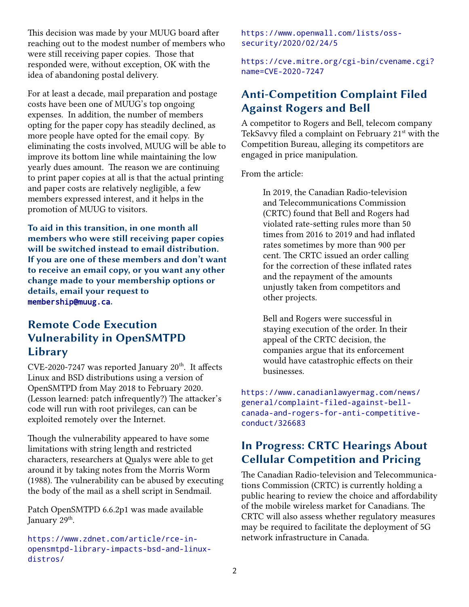This decision was made by your MUUG board after reaching out to the modest number of members who were still receiving paper copies. Those that responded were, without exception, OK with the idea of abandoning postal delivery.

For at least a decade, mail preparation and postage costs have been one of MUUG's top ongoing expenses. In addition, the number of members opting for the paper copy has steadily declined, as more people have opted for the email copy. By eliminating the costs involved, MUUG will be able to improve its bottom line while maintaining the low yearly dues amount. The reason we are continuing to print paper copies at all is that the actual printing and paper costs are relatively negligible, a few members expressed interest, and it helps in the promotion of MUUG to visitors.

**To aid in this transition, in one month all members who were still receiving paper copies will be switched instead to email distribution. If you are one of these members and don't want to receive an email copy, or you want any other change made to your membership options or details, email your request to**  [membership@muug.ca](mailto:membership@muug.ca)**.**

#### **Remote Code Execution Vulnerability in OpenSMTPD Library**

 $CVE-2020-7247$  was reported January  $20<sup>th</sup>$ . It affects Linux and BSD distributions using a version of OpenSMTPD from May 2018 to February 2020. (Lesson learned: patch infrequently?) The attacker's code will run with root privileges, can can be exploited remotely over the Internet.

Though the vulnerability appeared to have some limitations with string length and restricted characters, researchers at Qualys were able to get around it by taking notes from the Morris Worm (1988). The vulnerability can be abused by executing the body of the mail as a shell script in Sendmail.

Patch OpenSMTPD 6.6.2p1 was made available January 29<sup>th</sup>.

https://www.zdnet.com/article/rce-inopensmtpd-library-impacts-bsd-and-linuxdistros/

[https://www.openwall.com/lists/oss](https://www.openwall.com/lists/oss-security/2020/02/24/5)[security/2020/02/24/5](https://www.openwall.com/lists/oss-security/2020/02/24/5)

[https://cve.mitre.org/cgi-bin/cvename.cgi?](https://cve.mitre.org/cgi-bin/cvename.cgi?name=CVE-2020-7247) [name=CVE-2020-7247](https://cve.mitre.org/cgi-bin/cvename.cgi?name=CVE-2020-7247)

#### **Anti-Competition Complaint Filed Against Rogers and Bell**

A competitor to Rogers and Bell, telecom company TekSavvy filed a complaint on February 21<sup>st</sup> with the Competition Bureau, alleging its competitors are engaged in price manipulation.

From the article:

In 2019, the Canadian Radio-television and Telecommunications Commission (CRTC) found that Bell and Rogers had violated rate-setting rules more than 50 times from 2016 to 2019 and had inflated rates sometimes by more than 900 per cent. The CRTC issued an order calling for the correction of these inflated rates and the repayment of the amounts unjustly taken from competitors and other projects.

Bell and Rogers were successful in staying execution of the order. In their appeal of the CRTC decision, the companies argue that its enforcement would have catastrophic effects on their businesses.

[https://www.canadianlawyermag.com/news/](https://www.canadianlawyermag.com/news/general/complaint-filed-against-bell-canada-and-rogers-for-anti-competitive-conduct/326683) general/complaint-filed-against-bell[canada-and-rogers-for-anti-competitive](https://www.canadianlawyermag.com/news/general/complaint-filed-against-bell-canada-and-rogers-for-anti-competitive-conduct/326683)[conduct/326683](https://www.canadianlawyermag.com/news/general/complaint-filed-against-bell-canada-and-rogers-for-anti-competitive-conduct/326683)

#### **In Progress: CRTC Hearings About Cellular Competition and Pricing**

The Canadian Radio-television and Telecommunications Commission (CRTC) is currently holding a public hearing to review the choice and affordability of the mobile wireless market for Canadians. The CRTC will also assess whether regulatory measures may be required to facilitate the deployment of 5G network infrastructure in Canada.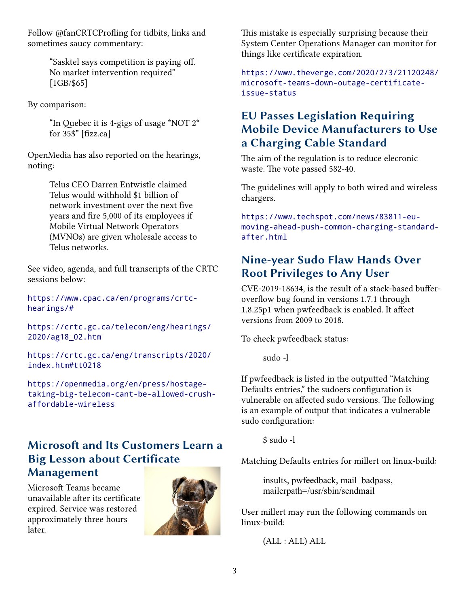Follow @fanCRTCProfling for tidbits, links and sometimes saucy commentary:

> "Sasktel says competition is paying off. No market intervention required" [1GB/\$65]

By comparison:

"In Quebec it is 4-gigs of usage \*NOT 2\* for 35\$" [fizz.ca]

OpenMedia has also reported on the hearings, noting:

> Telus CEO Darren Entwistle claimed Telus would withhold \$1 billion of network investment over the next five years and fire 5,000 of its employees if Mobile Virtual Network Operators (MVNOs) are given wholesale access to Telus networks.

See video, agenda, and full transcripts of the CRTC sessions below:

[https://www.cpac.ca/en/programs/crtc](https://www.cpac.ca/en/programs/crtc-hearings/)[hearings/](https://www.cpac.ca/en/programs/crtc-hearings/)#

[https://crtc.gc.ca/telecom/eng/hearings/](https://crtc.gc.ca/telecom/eng/hearings/2020/ag18_02.htm) [2020/ag18\\_02.htm](https://crtc.gc.ca/telecom/eng/hearings/2020/ag18_02.htm)

[https://crtc.gc.ca/eng/transcripts/2020/](https://crtc.gc.ca/eng/transcripts/2020/index.htm#tt0218) [index.htm#tt0218](https://crtc.gc.ca/eng/transcripts/2020/index.htm#tt0218)

https://openmedia.org/en/press/hostagetaking-big-telecom-cant-be-allowed-crushaffordable-wireless

#### **Microsoft and Its Customers Learn a Big Lesson about Certificate Management**

Microsoft Teams became unavailable after its certificate expired. Service was restored approximately three hours later.



This mistake is especially surprising because their System Center Operations Manager can monitor for things like certificate expiration.

https://www.theverge.com/2020/2/3/21120248/ microsoft-teams-down-outage-certificateissue-status

#### **EU Passes Legislation Requiring Mobile Device Manufacturers to Use a Charging Cable Standard**

The aim of the regulation is to reduce elecronic waste. The vote passed 582-40.

The guidelines will apply to both wired and wireless chargers.

https://www.techspot.com/news/83811-eumoving-ahead-push-common-charging-standardafter.html

#### **Nine-year Sudo Flaw Hands Over Root Privileges to Any User**

CVE-2019-18634, is the result of a stack-based bufferoverflow bug found in versions 1.7.1 through 1.8.25p1 when pwfeedback is enabled. It affect versions from 2009 to 2018.

To check pwfeedback status:

sudo -l

If pwfeedback is listed in the outputted "Matching Defaults entries," the sudoers configuration is vulnerable on affected sudo versions. The following is an example of output that indicates a vulnerable sudo configuration:

\$ sudo -l

Matching Defaults entries for millert on linux-build:

insults, pwfeedback, mail\_badpass, mailerpath=/usr/sbin/sendmail

User millert may run the following commands on linux-build:

(ALL : ALL) ALL